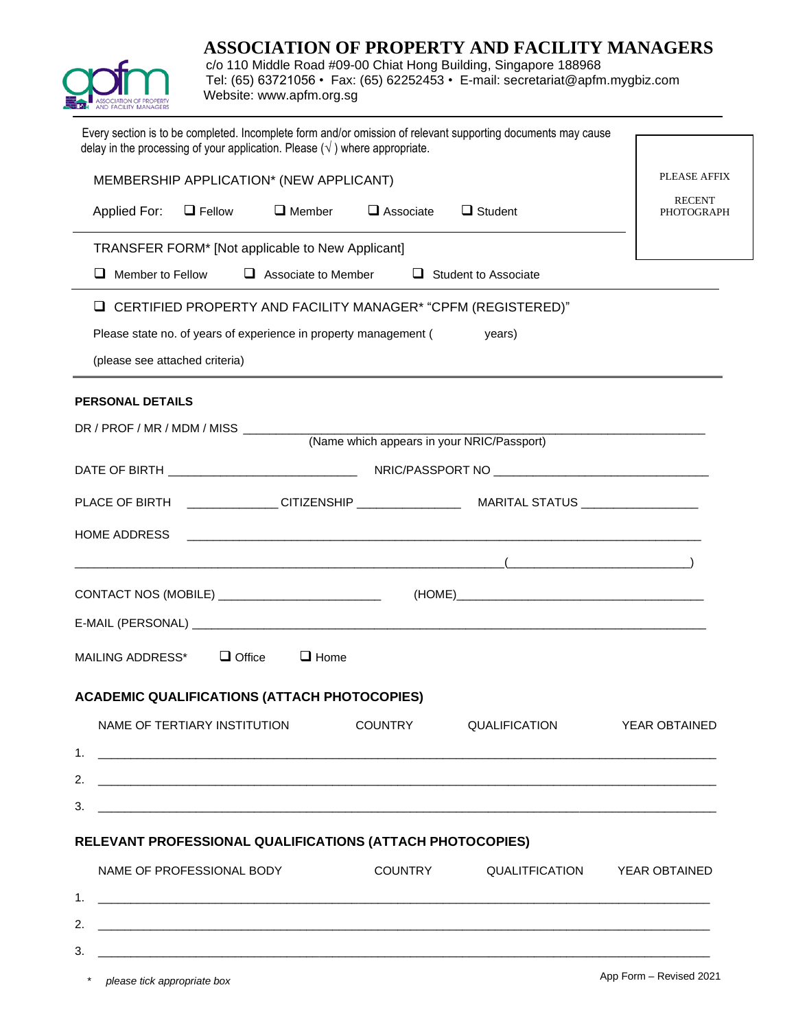# **ASSOCIATION OF PROPERTY AND FACILITY MANAGERS**



\* *please tick appropriate box*

c/o 110 Middle Road #09-00 Chiat Hong Building, Singapore 188968 Tel: (65) 63721056 • Fax: (65) 62252453 • E-mail: [secretariat@apfm.mygbiz.com](mailto:secretariat@apfm.mygbiz.com) Website: www.apfm.org.sg

| Every section is to be completed. Incomplete form and/or omission of relevant supporting documents may cause<br>delay in the processing of your application. Please $(\sqrt{})$ where appropriate. |                                            |                             |                                    |
|----------------------------------------------------------------------------------------------------------------------------------------------------------------------------------------------------|--------------------------------------------|-----------------------------|------------------------------------|
| MEMBERSHIP APPLICATION* (NEW APPLICANT)                                                                                                                                                            |                                            |                             | <b>PLEASE AFFIX</b>                |
| $\Box$ Member<br>Applied For:<br>$\Box$ Fellow                                                                                                                                                     | $\Box$ Associate $\Box$ Student            |                             | <b>RECENT</b><br><b>PHOTOGRAPH</b> |
| TRANSFER FORM* [Not applicable to New Applicant]                                                                                                                                                   |                                            |                             |                                    |
| Member to Fellow<br>ப                                                                                                                                                                              | $\Box$ Associate to Member                 | $\Box$ Student to Associate |                                    |
| L CERTIFIED PROPERTY AND FACILITY MANAGER* "CPFM (REGISTERED)"                                                                                                                                     |                                            |                             |                                    |
| Please state no. of years of experience in property management (                                                                                                                                   |                                            | years)                      |                                    |
| (please see attached criteria)                                                                                                                                                                     |                                            |                             |                                    |
| <b>PERSONAL DETAILS</b>                                                                                                                                                                            |                                            |                             |                                    |
| DR / PROF / MR / MDM / MISS __________                                                                                                                                                             |                                            |                             |                                    |
|                                                                                                                                                                                                    | (Name which appears in your NRIC/Passport) |                             |                                    |
|                                                                                                                                                                                                    |                                            |                             |                                    |
|                                                                                                                                                                                                    |                                            |                             |                                    |
| HOME ADDRESS                                                                                                                                                                                       |                                            |                             |                                    |
| $\overline{a}$ (and the contract of $\overline{a}$ ) and $\overline{a}$ (and $\overline{a}$ ) and $\overline{a}$ ) and $\overline{a}$                                                              |                                            |                             |                                    |
| CONTACT NOS (MOBILE) ____________________________                                                                                                                                                  |                                            |                             |                                    |
|                                                                                                                                                                                                    |                                            |                             |                                    |
| $\Box$ Office<br>MAILING ADDRESS*                                                                                                                                                                  | $\Box$ Home                                |                             |                                    |
| <b>ACADEMIC QUALIFICATIONS (ATTACH PHOTOCOPIES)</b>                                                                                                                                                |                                            |                             |                                    |
| NAME OF TERTIARY INSTITUTION                                                                                                                                                                       | <b>COUNTRY</b>                             | QUALIFICATION               | <b>YEAR OBTAINED</b>               |
| 1.                                                                                                                                                                                                 |                                            |                             |                                    |
| 2.                                                                                                                                                                                                 |                                            |                             |                                    |
| 3.                                                                                                                                                                                                 |                                            |                             |                                    |
| RELEVANT PROFESSIONAL QUALIFICATIONS (ATTACH PHOTOCOPIES)                                                                                                                                          |                                            |                             |                                    |
| NAME OF PROFESSIONAL BODY                                                                                                                                                                          | COUNTRY                                    |                             | QUALITFICATION YEAR OBTAINED       |
| 1.                                                                                                                                                                                                 |                                            |                             |                                    |
| 2.                                                                                                                                                                                                 |                                            |                             |                                    |
| 3.<br>and the control of the control of the control of the control of the control of the control of the control of the                                                                             |                                            |                             |                                    |
| * please tick appropriate hov                                                                                                                                                                      |                                            |                             | App Form - Revised 2021            |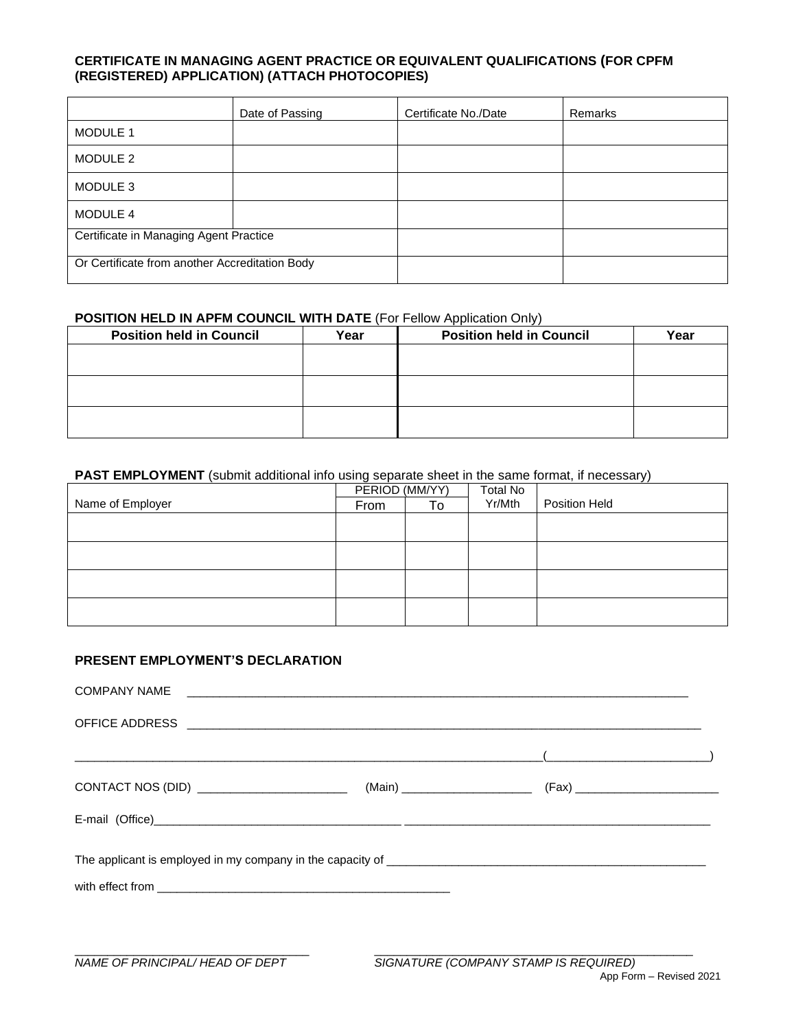#### **CERTIFICATE IN MANAGING AGENT PRACTICE OR EQUIVALENT QUALIFICATIONS (FOR CPFM (REGISTERED) APPLICATION) (ATTACH PHOTOCOPIES)**

|                                                | Date of Passing | Certificate No./Date | Remarks |
|------------------------------------------------|-----------------|----------------------|---------|
| MODULE 1                                       |                 |                      |         |
| MODULE 2                                       |                 |                      |         |
| MODULE 3                                       |                 |                      |         |
| MODULE 4                                       |                 |                      |         |
| Certificate in Managing Agent Practice         |                 |                      |         |
| Or Certificate from another Accreditation Body |                 |                      |         |

#### **POSITION HELD IN APFM COUNCIL WITH DATE (For Fellow Application Only)**

| <b>Position held in Council</b> | Year | <b>Position held in Council</b> | Year |
|---------------------------------|------|---------------------------------|------|
|                                 |      |                                 |      |
|                                 |      |                                 |      |
|                                 |      |                                 |      |
|                                 |      |                                 |      |
|                                 |      |                                 |      |
|                                 |      |                                 |      |

#### **PAST EMPLOYMENT** (submit additional info using separate sheet in the same format, if necessary)

|                  | PERIOD (MM/YY) |    | Total No |                      |
|------------------|----------------|----|----------|----------------------|
| Name of Employer | From           | To | Yr/Mth   | <b>Position Held</b> |
|                  |                |    |          |                      |
|                  |                |    |          |                      |
|                  |                |    |          |                      |
|                  |                |    |          |                      |
|                  |                |    |          |                      |
|                  |                |    |          |                      |
|                  |                |    |          |                      |
|                  |                |    |          |                      |

### **PRESENT EMPLOYMENT'S DECLARATION**

| $\left(\begin{array}{ccccc} \text{1} & \text{1} & \text{1} & \text{1} & \text{1} & \text{1} & \text{1} & \text{1} & \text{1} & \text{1} & \text{1} & \text{1} & \text{1} & \text{1} & \text{1} & \text{1} & \text{1} & \text{1} & \text{1} & \text{1} & \text{1} & \text{1} & \text{1} & \text{1} & \text{1} & \text{1} & \text{1} & \text{1} & \text{1} & \text{1} & \text{1} & \text{1} & \text{1} & \text{1} & \text{1} &$ |
|-------------------------------------------------------------------------------------------------------------------------------------------------------------------------------------------------------------------------------------------------------------------------------------------------------------------------------------------------------------------------------------------------------------------------------|
|                                                                                                                                                                                                                                                                                                                                                                                                                               |
|                                                                                                                                                                                                                                                                                                                                                                                                                               |
|                                                                                                                                                                                                                                                                                                                                                                                                                               |
|                                                                                                                                                                                                                                                                                                                                                                                                                               |
|                                                                                                                                                                                                                                                                                                                                                                                                                               |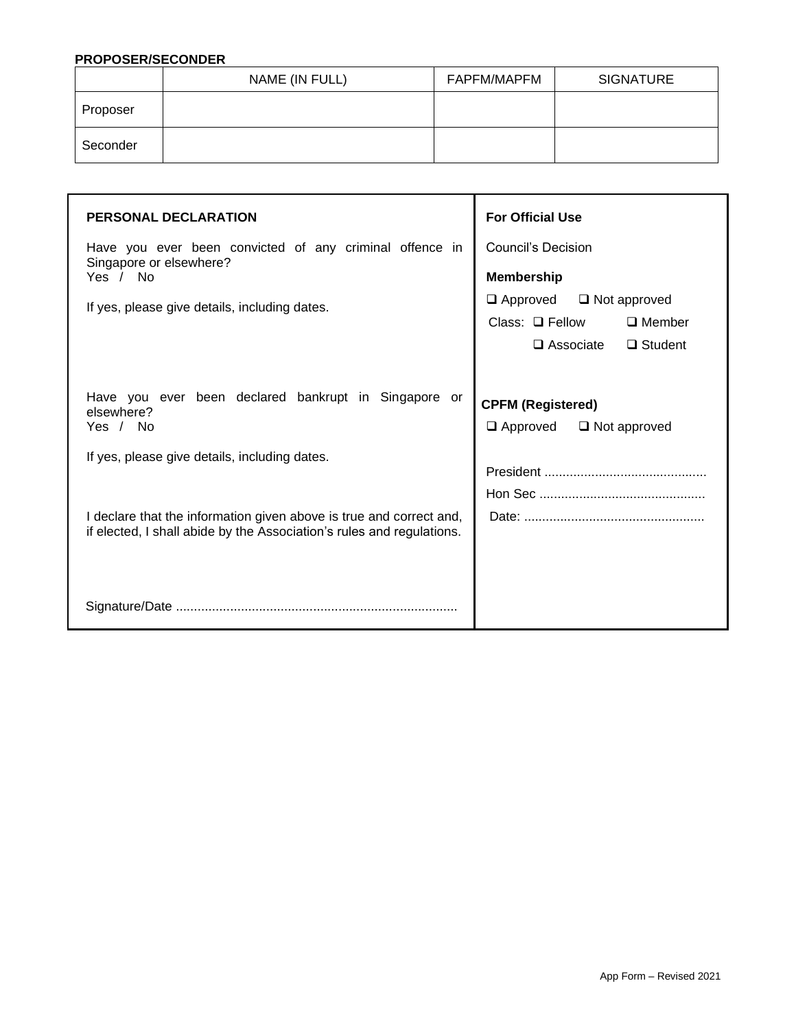#### **PROPOSER/SECONDER**

|          | NAME (IN FULL) | FAPFM/MAPFM | <b>SIGNATURE</b> |
|----------|----------------|-------------|------------------|
| Proposer |                |             |                  |
| Seconder |                |             |                  |

| <b>PERSONAL DECLARATION</b><br>Have you ever been convicted of any criminal offence in<br>Singapore or elsewhere?<br>Yes / No<br>If yes, please give details, including dates.                         | <b>For Official Use</b><br>Council's Decision<br><b>Membership</b><br>$\Box$ Approved $\Box$ Not approved<br>$\Box$ Member<br>Class: $\Box$ Fellow<br>$\square$ Associate<br>$\Box$ Student |
|--------------------------------------------------------------------------------------------------------------------------------------------------------------------------------------------------------|---------------------------------------------------------------------------------------------------------------------------------------------------------------------------------------------|
| Have you ever been declared bankrupt in Singapore or<br>elsewhere?<br>Yes / No<br>If yes, please give details, including dates.<br>I declare that the information given above is true and correct and, | <b>CPFM (Registered)</b><br>$\Box$ Not approved<br>$\Box$ Approved                                                                                                                          |
| if elected, I shall abide by the Association's rules and regulations.                                                                                                                                  |                                                                                                                                                                                             |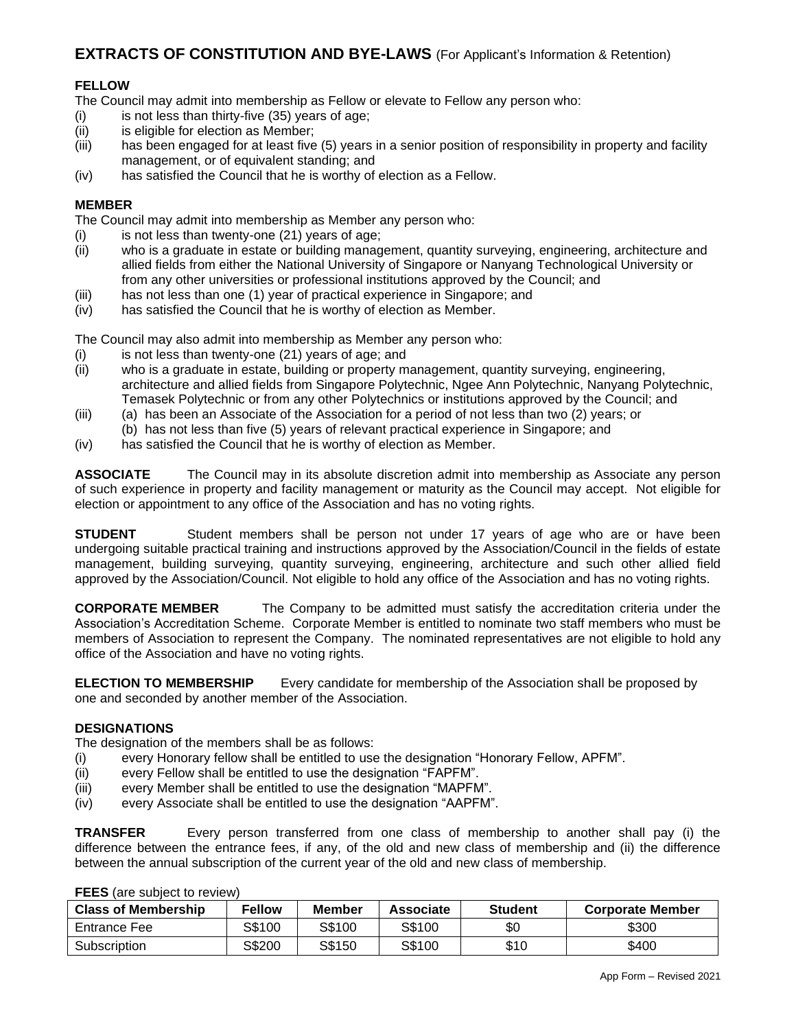## **EXTRACTS OF CONSTITUTION AND BYE-LAWS** (For Applicant's Information & Retention)

#### **FELLOW**

The Council may admit into membership as Fellow or elevate to Fellow any person who:

- $(i)$  is not less than thirty-five  $(35)$  years of age;
- (ii) is eligible for election as Member;
- (iii) has been engaged for at least five (5) years in a senior position of responsibility in property and facility management, or of equivalent standing; and
- (iv) has satisfied the Council that he is worthy of election as a Fellow.

#### **MEMBER**

The Council may admit into membership as Member any person who:

- (i) is not less than twenty-one (21) years of age;
- (ii) who is a graduate in estate or building management, quantity surveying, engineering, architecture and allied fields from either the National University of Singapore or Nanyang Technological University or from any other universities or professional institutions approved by the Council; and
- (iii) has not less than one (1) year of practical experience in Singapore; and
- (iv) has satisfied the Council that he is worthy of election as Member.

The Council may also admit into membership as Member any person who:

- (i) is not less than twenty-one (21) years of age; and
- (ii) who is a graduate in estate, building or property management, quantity surveying, engineering, architecture and allied fields from Singapore Polytechnic, Ngee Ann Polytechnic, Nanyang Polytechnic, Temasek Polytechnic or from any other Polytechnics or institutions approved by the Council; and
- (iii) (a) has been an Associate of the Association for a period of not less than two (2) years; or (b) has not less than five (5) years of relevant practical experience in Singapore; and
- (iv) has satisfied the Council that he is worthy of election as Member.

**ASSOCIATE** The Council may in its absolute discretion admit into membership as Associate any person of such experience in property and facility management or maturity as the Council may accept. Not eligible for election or appointment to any office of the Association and has no voting rights.

**STUDENT** Student members shall be person not under 17 years of age who are or have been undergoing suitable practical training and instructions approved by the Association/Council in the fields of estate management, building surveying, quantity surveying, engineering, architecture and such other allied field approved by the Association/Council. Not eligible to hold any office of the Association and has no voting rights.

**CORPORATE MEMBER** The Company to be admitted must satisfy the accreditation criteria under the Association's Accreditation Scheme. Corporate Member is entitled to nominate two staff members who must be members of Association to represent the Company. The nominated representatives are not eligible to hold any office of the Association and have no voting rights.

**ELECTION TO MEMBERSHIP** Every candidate for membership of the Association shall be proposed by one and seconded by another member of the Association.

#### **DESIGNATIONS**

The designation of the members shall be as follows:

- (i) every Honorary fellow shall be entitled to use the designation "Honorary Fellow, APFM".
- (ii) every Fellow shall be entitled to use the designation "FAPFM".
- (iii) every Member shall be entitled to use the designation "MAPFM".
- (iv) every Associate shall be entitled to use the designation "AAPFM".

**TRANSFER** Every person transferred from one class of membership to another shall pay (i) the difference between the entrance fees, if any, of the old and new class of membership and (ii) the difference between the annual subscription of the current year of the old and new class of membership.

| . === , are capped to reflect the set of the set of the set of the set of the set of the set of the set of the |               |        |           |                |                         |
|----------------------------------------------------------------------------------------------------------------|---------------|--------|-----------|----------------|-------------------------|
| <b>Class of Membership</b>                                                                                     | <b>Fellow</b> | Member | Associate | <b>Student</b> | <b>Corporate Member</b> |
| Entrance Fee                                                                                                   | S\$100        | S\$100 | S\$100    | \$0            | \$300                   |
| Subscription                                                                                                   | S\$200        | S\$150 | S\$100    | \$10           | \$400                   |

**FFFS** (are subject to review)